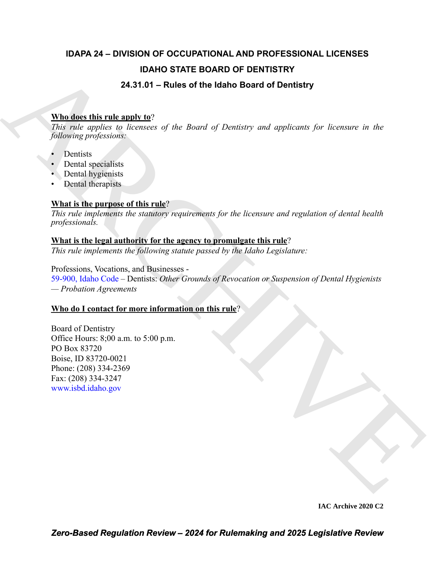# **IDAPA 24 – DIVISION OF OCCUPATIONAL AND PROFESSIONAL LICENSES IDAHO STATE BOARD OF DENTISTRY 24.31.01 – Rules of the Idaho Board of Dentistry**

# **Who does this rule apply to**?

*This rule applies to licensees of the Board of Dentistry and applicants for licensure in the following professions:*

- Dentists
- Dental specialists
- Dental hygienists
- Dental therapists

# **What is the purpose of this rule**?

*This rule implements the statutory requirements for the licensure and regulation of dental health professionals.*

# **What is the legal authority for the agency to promulgate this rule**?

*This rule implements the following statute passed by the Idaho Legislature:*

**IDAHO STATE BOARD OF DENTISTRY**<br> **CASHOLOGY INTERFERENCE AND ARCH[IVE](http://www.isbd.idaho.gov) CONSULTER (THE CONSULTER CONSULTER THE CONSULTER CONSULTER THE CONSULTER CONSULTER CONSULTER CONSULTER (For all application of deviation of deviation o** Professions, Vocations, and Businesses - 59-900, Idaho Code – Dentists: *Other Grounds of Revocation or Suspension of Dental Hygienists — Probation Agreements*

# **Who do I contact for more information on this rule**?

Board of Dentistry Office Hours: 8;00 a.m. to 5:00 p.m. PO Box 83720 Boise, ID 83720-0021 Phone: (208) 334-2369 Fax: (208) 334-3247 www.isbd.idaho.gov

**IAC Archive 2020 C2**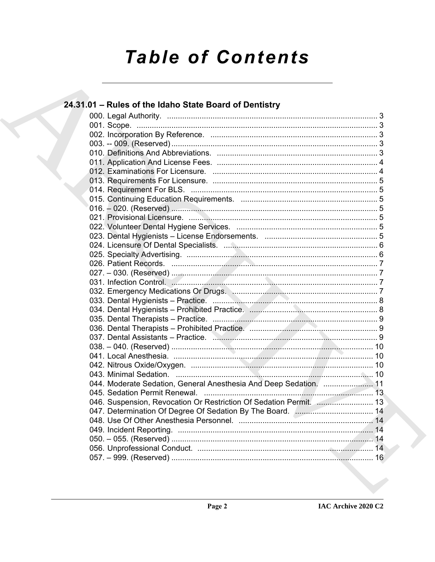# **Table of Contents**

| 24.31.01 - Rules of the Idaho State Board of Dentistry                           |  |
|----------------------------------------------------------------------------------|--|
|                                                                                  |  |
|                                                                                  |  |
|                                                                                  |  |
|                                                                                  |  |
|                                                                                  |  |
|                                                                                  |  |
|                                                                                  |  |
|                                                                                  |  |
|                                                                                  |  |
|                                                                                  |  |
|                                                                                  |  |
|                                                                                  |  |
|                                                                                  |  |
|                                                                                  |  |
|                                                                                  |  |
|                                                                                  |  |
|                                                                                  |  |
|                                                                                  |  |
|                                                                                  |  |
|                                                                                  |  |
|                                                                                  |  |
|                                                                                  |  |
|                                                                                  |  |
|                                                                                  |  |
|                                                                                  |  |
|                                                                                  |  |
|                                                                                  |  |
|                                                                                  |  |
|                                                                                  |  |
| 044. Moderate Sedation, General Anesthesia And Deep Sedation.  11                |  |
|                                                                                  |  |
| 046. Suspension, Revocation Or Restriction Of Sedation Permit. 2.2. 2.2. 2.2. 13 |  |
|                                                                                  |  |
|                                                                                  |  |
|                                                                                  |  |
|                                                                                  |  |
|                                                                                  |  |
|                                                                                  |  |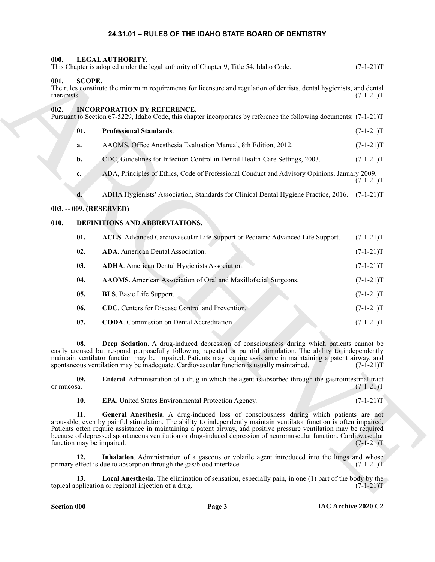#### <span id="page-2-22"></span><span id="page-2-21"></span><span id="page-2-20"></span>**24.31.01 – RULES OF THE IDAHO STATE BOARD OF DENTISTRY**

<span id="page-2-6"></span><span id="page-2-5"></span><span id="page-2-4"></span><span id="page-2-3"></span><span id="page-2-2"></span><span id="page-2-1"></span><span id="page-2-0"></span>

| 000.                |                                  | LEGAL AUTHORITY.<br>This Chapter is adopted under the legal authority of Chapter 9, Title 54, Idaho Code.                                                                                                                                                                                                                                                                                                                                                  | $(7-1-21)T$ |
|---------------------|----------------------------------|------------------------------------------------------------------------------------------------------------------------------------------------------------------------------------------------------------------------------------------------------------------------------------------------------------------------------------------------------------------------------------------------------------------------------------------------------------|-------------|
| 001.<br>therapists. | <b>SCOPE.</b>                    | The rules constitute the minimum requirements for licensure and regulation of dentists, dental hygienists, and dental                                                                                                                                                                                                                                                                                                                                      | $(7-1-21)T$ |
| 002.                |                                  | <b>INCORPORATION BY REFERENCE.</b><br>Pursuant to Section 67-5229, Idaho Code, this chapter incorporates by reference the following documents: (7-1-21)T                                                                                                                                                                                                                                                                                                   |             |
|                     | 01.                              | <b>Professional Standards.</b>                                                                                                                                                                                                                                                                                                                                                                                                                             | $(7-1-21)T$ |
|                     | a.                               | AAOMS, Office Anesthesia Evaluation Manual, 8th Edition, 2012.                                                                                                                                                                                                                                                                                                                                                                                             | $(7-1-21)T$ |
|                     | b.                               | CDC, Guidelines for Infection Control in Dental Health-Care Settings, 2003.                                                                                                                                                                                                                                                                                                                                                                                | $(7-1-21)T$ |
|                     | c.                               | ADA, Principles of Ethics, Code of Professional Conduct and Advisory Opinions, January 2009.                                                                                                                                                                                                                                                                                                                                                               | $(7-1-21)T$ |
|                     | d.                               | ADHA Hygienists' Association, Standards for Clinical Dental Hygiene Practice, 2016. (7-1-21)T                                                                                                                                                                                                                                                                                                                                                              |             |
|                     |                                  | 003. -- 009. (RESERVED)                                                                                                                                                                                                                                                                                                                                                                                                                                    |             |
| 010.                |                                  | DEFINITIONS AND ABBREVIATIONS.                                                                                                                                                                                                                                                                                                                                                                                                                             |             |
|                     | 01.                              | <b>ACLS.</b> Advanced Cardiovascular Life Support or Pediatric Advanced Life Support.                                                                                                                                                                                                                                                                                                                                                                      | $(7-1-21)T$ |
|                     | 02.                              | ADA. American Dental Association.                                                                                                                                                                                                                                                                                                                                                                                                                          | $(7-1-21)T$ |
|                     | 03.                              | <b>ADHA</b> . American Dental Hygienists Association.                                                                                                                                                                                                                                                                                                                                                                                                      | $(7-1-21)T$ |
|                     | 04.                              | AAOMS. American Association of Oral and Maxillofacial Surgeons.                                                                                                                                                                                                                                                                                                                                                                                            | $(7-1-21)T$ |
|                     | 05.                              | BLS. Basic Life Support.                                                                                                                                                                                                                                                                                                                                                                                                                                   | $(7-1-21)T$ |
|                     | 06.                              | CDC. Centers for Disease Control and Prevention.                                                                                                                                                                                                                                                                                                                                                                                                           | $(7-1-21)T$ |
|                     | 07.                              | CODA. Commission on Dental Accreditation.                                                                                                                                                                                                                                                                                                                                                                                                                  | $(7-1-21)T$ |
|                     | 08.                              | Deep Sedation. A drug-induced depression of consciousness during which patients cannot be<br>easily aroused but respond purposefully following repeated or painful stimulation. The ability to independently<br>maintain ventilator function may be impaired. Patients may require assistance in maintaining a patent airway, and<br>spontaneous ventilation may be inadequate. Cardiovascular function is usually maintained.                             | $(7-1-21)T$ |
| or mucosa.          | 09.                              | <b>Enteral.</b> Administration of a drug in which the agent is absorbed through the gastrointestinal tract                                                                                                                                                                                                                                                                                                                                                 | $(7-1-21)T$ |
|                     | 10.                              | EPA. United States Environmental Protection Agency.                                                                                                                                                                                                                                                                                                                                                                                                        | $(7-1-21)T$ |
|                     | 11.<br>function may be impaired. | General Anesthesia. A drug-induced loss of consciousness during which patients are not<br>arousable, even by painful stimulation. The ability to independently maintain ventilator function is often impaired.<br>Patients often require assistance in maintaining a patent airway, and positive pressure ventilation may be required<br>because of depressed spontaneous ventilation or drug-induced depression of neuromuscular function. Cardiovascular | $(7-1-21)T$ |
|                     | 12.                              | Inhalation. Administration of a gaseous or volatile agent introduced into the lungs and whose<br>primary effect is due to absorption through the gas/blood interface.                                                                                                                                                                                                                                                                                      | $(7-1-21)T$ |
|                     | 13.                              | <b>Local Anesthesia</b> . The elimination of sensation, especially pain, in one (1) part of the body by the<br>topical application or regional injection of a drug.                                                                                                                                                                                                                                                                                        | $(7-1-21)T$ |

- <span id="page-2-19"></span><span id="page-2-18"></span><span id="page-2-17"></span><span id="page-2-16"></span><span id="page-2-15"></span><span id="page-2-14"></span><span id="page-2-13"></span><span id="page-2-12"></span><span id="page-2-11"></span><span id="page-2-10"></span><span id="page-2-9"></span><span id="page-2-8"></span><span id="page-2-7"></span>**10. EPA**. United States Environmental Protection Agency. (7-1-21)T
-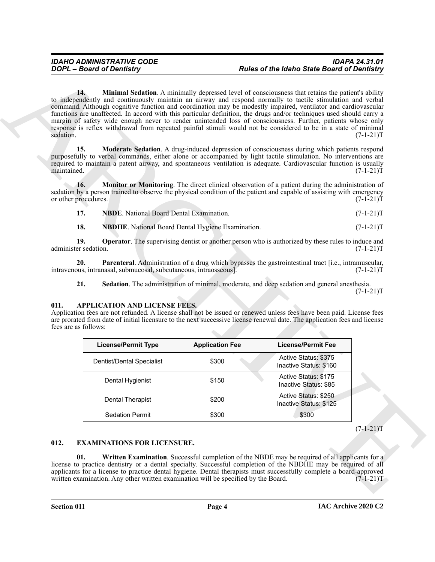<span id="page-3-9"></span><span id="page-3-8"></span><span id="page-3-7"></span><span id="page-3-6"></span><span id="page-3-5"></span><span id="page-3-4"></span>

| 17. | <b>NBDE.</b> National Board Dental Examination. | $(7-1-21)T$ |
|-----|-------------------------------------------------|-------------|
|-----|-------------------------------------------------|-------------|

#### <span id="page-3-10"></span><span id="page-3-2"></span><span id="page-3-0"></span>**011. APPLICATION AND LICENSE FEES.**

<span id="page-3-3"></span>

| 14.                          |                                                                                                                                                                                                                                                                                                                                                                                                                                                                                                                                                                                        |                                                          | <b>Rules of the Idaho State Board of Dentistry</b>                                                         |             |
|------------------------------|----------------------------------------------------------------------------------------------------------------------------------------------------------------------------------------------------------------------------------------------------------------------------------------------------------------------------------------------------------------------------------------------------------------------------------------------------------------------------------------------------------------------------------------------------------------------------------------|----------------------------------------------------------|------------------------------------------------------------------------------------------------------------|-------------|
| sedation.                    | to independently and continuously maintain an airway and respond normally to tactile stimulation and verbal<br>command. Although cognitive function and coordination may be modestly impaired, ventilator and cardiovascular<br>functions are unaffected. In accord with this particular definition, the drugs and/or techniques used should carry a<br>margin of safety wide enough never to render unintended loss of consciousness. Further, patients whose only<br>response is reflex withdrawal from repeated painful stimuli would not be considered to be in a state of minimal |                                                          | Minimal Sedation. A minimally depressed level of consciousness that retains the patient's ability          | $(7-1-21)T$ |
| 15.<br>maintained.           | purposefully to verbal commands, either alone or accompanied by light tactile stimulation. No interventions are<br>required to maintain a patent airway, and spontaneous ventilation is adequate. Cardiovascular function is usually                                                                                                                                                                                                                                                                                                                                                   |                                                          | Moderate Sedation. A drug-induced depression of consciousness during which patients respond                | $(7-1-21)T$ |
| 16.<br>or other procedures.  | sedation by a person trained to observe the physical condition of the patient and capable of assisting with emergency                                                                                                                                                                                                                                                                                                                                                                                                                                                                  |                                                          | <b>Monitor or Monitoring.</b> The direct clinical observation of a patient during the administration of    | $(7-1-21)T$ |
| 17.                          | NBDE. National Board Dental Examination.                                                                                                                                                                                                                                                                                                                                                                                                                                                                                                                                               |                                                          |                                                                                                            | $(7-1-21)T$ |
| 18.                          |                                                                                                                                                                                                                                                                                                                                                                                                                                                                                                                                                                                        | <b>NBDHE.</b> National Board Dental Hygiene Examination. |                                                                                                            | $(7-1-21)T$ |
| 19.<br>administer sedation.  |                                                                                                                                                                                                                                                                                                                                                                                                                                                                                                                                                                                        |                                                          | <b>Operator</b> . The supervising dentist or another person who is authorized by these rules to induce and | $(7-1-21)T$ |
| 20.                          | intravenous, intranasal, submucosal, subcutaneous, intraosseous].                                                                                                                                                                                                                                                                                                                                                                                                                                                                                                                      |                                                          | Parenteral. Administration of a drug which bypasses the gastrointestinal tract [i.e., intramuscular,       | $(7-1-21)T$ |
| 21.                          |                                                                                                                                                                                                                                                                                                                                                                                                                                                                                                                                                                                        |                                                          | Sedation. The administration of minimal, moderate, and deep sedation and general anesthesia.               | $(7-1-21)T$ |
|                              |                                                                                                                                                                                                                                                                                                                                                                                                                                                                                                                                                                                        |                                                          |                                                                                                            |             |
| 011.<br>fees are as follows: | APPLICATION AND LICENSE FEES.<br>Application fees are not refunded. A license shall not be issued or renewed unless fees have been paid. License fees<br>are prorated from date of initial licensure to the next successive license renewal date. The application fees and license                                                                                                                                                                                                                                                                                                     |                                                          |                                                                                                            |             |
|                              | <b>License/Permit Type</b>                                                                                                                                                                                                                                                                                                                                                                                                                                                                                                                                                             | <b>Application Fee</b>                                   | <b>License/Permit Fee</b>                                                                                  |             |
|                              | Dentist/Dental Specialist                                                                                                                                                                                                                                                                                                                                                                                                                                                                                                                                                              | \$300                                                    | Active Status: \$375<br>Inactive Status: \$160                                                             |             |
|                              | Dental Hygienist                                                                                                                                                                                                                                                                                                                                                                                                                                                                                                                                                                       | \$150                                                    | Active Status: \$175<br>Inactive Status: \$85                                                              |             |
|                              | Dental Therapist                                                                                                                                                                                                                                                                                                                                                                                                                                                                                                                                                                       | \$200                                                    | Active Status: \$250<br>Inactive Status: \$125                                                             |             |
|                              | <b>Sedation Permit</b>                                                                                                                                                                                                                                                                                                                                                                                                                                                                                                                                                                 | \$300                                                    | \$300                                                                                                      |             |
| 012.                         | <b>EXAMINATIONS FOR LICENSURE.</b>                                                                                                                                                                                                                                                                                                                                                                                                                                                                                                                                                     |                                                          |                                                                                                            | $(7-1-21)T$ |
| 01.                          |                                                                                                                                                                                                                                                                                                                                                                                                                                                                                                                                                                                        |                                                          | Written Examination. Successful completion of the NBDE may be required of all applicants for a             |             |

#### <span id="page-3-12"></span><span id="page-3-11"></span><span id="page-3-1"></span>**012. EXAMINATIONS FOR LICENSURE.**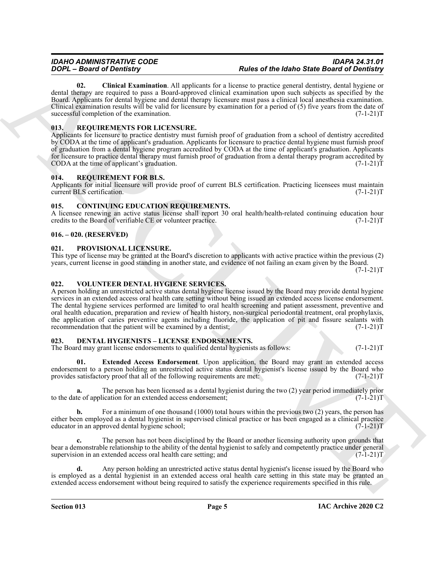<span id="page-4-10"></span>**02. Clinical Examination**. All applicants for a license to practice general dentistry, dental hygiene or dental therapy are required to pass a Board-approved clinical examination upon such subjects as specified by the Board. Applicants for dental hygiene and dental therapy licensure must pass a clinical local anesthesia examination. Clinical examination results will be valid for licensure by examination for a period of (5) five years from the date of successful completion of the examination. (7-1-21)T

#### <span id="page-4-13"></span><span id="page-4-0"></span>**013. REQUIREMENTS FOR LICENSURE.**

Applicants for licensure to practice dentistry must furnish proof of graduation from a school of dentistry accredited by CODA at the time of applicant's graduation. Applicants for licensure to practice dental hygiene must furnish proof of graduation from a dental hygiene program accredited by CODA at the time of applicant's graduation. Applicants for licensure to practice dental therapy must furnish proof of graduation from a dental therapy program accredited by CODA at the time of applicant's graduation. (7-1-21) CODA at the time of applicant's graduation.

#### <span id="page-4-12"></span><span id="page-4-1"></span>**014. REQUIREMENT FOR BLS.**

Applicants for initial licensure will provide proof of current BLS certification. Practicing licensees must maintain current BLS certification. (7-1-21)T current BLS certification.

#### <span id="page-4-7"></span><span id="page-4-2"></span>**015. CONTINUING EDUCATION REQUIREMENTS.**

A licensee renewing an active status license shall report 30 oral health/health-related continuing education hour credits to the Board of verifiable CE or volunteer practice. (7-1-21)T

#### <span id="page-4-3"></span>**016. – 020. (RESERVED)**

#### <span id="page-4-11"></span><span id="page-4-4"></span>**021. PROVISIONAL LICENSURE.**

This type of license may be granted at the Board's discretion to applicants with active practice within the previous (2) years, current license in good standing in another state, and evidence of not failing an exam given by the Board.  $(7-1-21)T$ 

#### <span id="page-4-14"></span><span id="page-4-5"></span>**022. VOLUNTEER DENTAL HYGIENE SERVICES.**

**FOOT - States of points of the states of the states of the states of the based of the footballs of the states of the states of the states of the states of the states of the states of the states of the states of the state** A person holding an unrestricted active status dental hygiene license issued by the Board may provide dental hygiene services in an extended access oral health care setting without being issued an extended access license endorsement. The dental hygiene services performed are limited to oral health screening and patient assessment, preventive and oral health education, preparation and review of health history, non-surgical periodontal treatment, oral prophylaxis, the application of caries preventive agents including fluoride, the application of pit and fissure sealants with recommendation that the patient will be examined by a dentist; (7-1-21) recommendation that the patient will be examined by a dentist;

#### <span id="page-4-8"></span><span id="page-4-6"></span>**023. DENTAL HYGIENISTS – LICENSE ENDORSEMENTS.**

The Board may grant license endorsements to qualified dental hygienists as follows: (7-1-21)T

<span id="page-4-9"></span>**01. Extended Access Endorsement**. Upon application, the Board may grant an extended access endorsement to a person holding an unrestricted active status dental hygienist's license issued by the Board who provides satisfactory proof that all of the following requirements are met: (7-1-21)T

**a.** The person has been licensed as a dental hygienist during the two (2) year period immediately prior te of application for an extended access endorsement; (7-1-21) to the date of application for an extended access endorsement;

For a minimum of one thousand (1000) total hours within the previous two (2) years, the person has either been employed as a dental hygienist in supervised clinical practice or has been engaged as a clinical practice educator in an approved dental hygiene school; (7-1-21)T

**c.** The person has not been disciplined by the Board or another licensing authority upon grounds that bear a demonstrable relationship to the ability of the dental hygienist to safely and competently practice under general supervision in an extended access oral health care setting; and  $(7-1-21)$ T supervision in an extended access oral health care setting; and

**d.** Any person holding an unrestricted active status dental hygienist's license issued by the Board who is employed as a dental hygienist in an extended access oral health care setting in this state may be granted an extended access endorsement without being required to satisfy the experience requirements specified in this rule.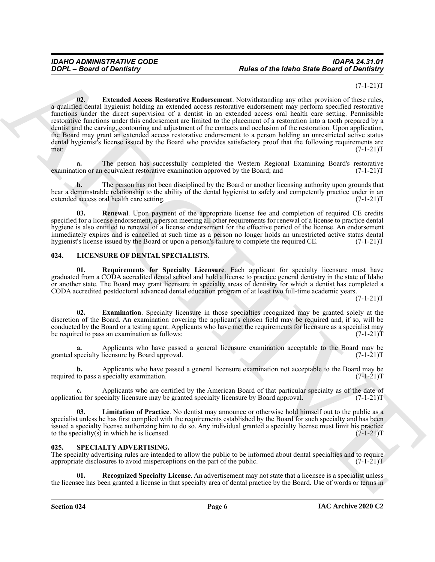$(7-1-21)T$ 

Point - Beard of Dentistry<br>
(a) Reads of the blanks Sinte Beard of Dentistry<br>
(a) Fourier and Archives Contents of Adventure Contents and Sinte Beard of Dentistry<br>
Contents and the first time of the state of the state of **02. Extended Access Restorative Endorsement**. Notwithstanding any other provision of these rules, a qualified dental hygienist holding an extended access restorative endorsement may perform specified restorative functions under the direct supervision of a dentist in an extended access oral health care setting. Permissible restorative functions under this endorsement are limited to the placement of a restoration into a tooth prepared by a dentist and the carving, contouring and adjustment of the contacts and occlusion of the restoration. Upon application, the Board may grant an extended access restorative endorsement to a person holding an unrestricted active status dental hygienist's license issued by the Board who provides satisfactory proof that the following requirements are met:  $(7-1-21)T$ 

<span id="page-5-2"></span>**a.** The person has successfully completed the Western Regional Examining Board's restorative tion or an equivalent restorative examination approved by the Board; and  $(7-1-21)$ T examination or an equivalent restorative examination approved by the Board; and

**b.** The person has not been disciplined by the Board or another licensing authority upon grounds that bear a demonstrable relationship to the ability of the dental hygienist to safely and competently practice under in an extended access oral health care setting. (7-1-21)T extended access oral health care setting.

<span id="page-5-3"></span>**03. Renewal**. Upon payment of the appropriate license fee and completion of required CE credits specified for a license endorsement, a person meeting all other requirements for renewal of a license to practice dental hygiene is also entitled to renewal of a license endorsement for the effective period of the license. An endorsement immediately expires and is cancelled at such time as a person no longer holds an unrestricted active status dental<br>hygienist's license issued by the Board or upon a person's failure to complete the required CE. (7-1-21)T hygienist's license issued by the Board or upon a person's failure to complete the required CE.

#### <span id="page-5-4"></span><span id="page-5-0"></span>**024. LICENSURE OF DENTAL SPECIALISTS.**

<span id="page-5-7"></span>**01. Requirements for Specialty Licensure**. Each applicant for specialty licensure must have graduated from a CODA accredited dental school and hold a license to practice general dentistry in the state of Idaho or another state. The Board may grant licensure in specialty areas of dentistry for which a dentist has completed a CODA accredited postdoctoral advanced dental education program of at least two full-time academic years.

 $(7-1-21)T$ 

<span id="page-5-5"></span>**02. Examination**. Specialty licensure in those specialties recognized may be granted solely at the discretion of the Board. An examination covering the applicant's chosen field may be required and, if so, will be conducted by the Board or a testing agent. Applicants who have met the requirements for licensure as a specialist may<br>be required to pass an examination as follows: (7-1-21) be required to pass an examination as follows:

Applicants who have passed a general licensure examination acceptable to the Board may be licensure by Board approval. (7-1-21)<sup>T</sup> granted specialty licensure by Board approval.

**b.** Applicants who have passed a general licensure examination not acceptable to the Board may be to pass a specialty examination. (7-1-21) required to pass a specialty examination.

**c.** Applicants who are certified by the American Board of that particular specialty as of the date of on for specialty licensure may be granted specialty licensure by Board approval. (7-1-21) application for specialty licensure may be granted specialty licensure by Board approval.

<span id="page-5-6"></span>**Limitation of Practice**. No dentist may announce or otherwise hold himself out to the public as a specialist unless he has first complied with the requirements established by the Board for such specialty and has been issued a specialty license authorizing him to do so. Any individual granted a specialty license must limit his practice to the specialty(s) in which he is licensed.  $(7-1-21)T$ to the specialty $(s)$  in which he is licensed.

#### <span id="page-5-8"></span><span id="page-5-1"></span>**025. SPECIALTY ADVERTISING.**

The specialty advertising rules are intended to allow the public to be informed about dental specialties and to require appropriate disclosures to avoid misperceptions on the part of the public. (7-1-21) appropriate disclosures to avoid misperceptions on the part of the public.

<span id="page-5-9"></span>**Recognized Specialty License**. An advertisement may not state that a licensee is a specialist unless the licensee has been granted a license in that specialty area of dental practice by the Board. Use of words or terms in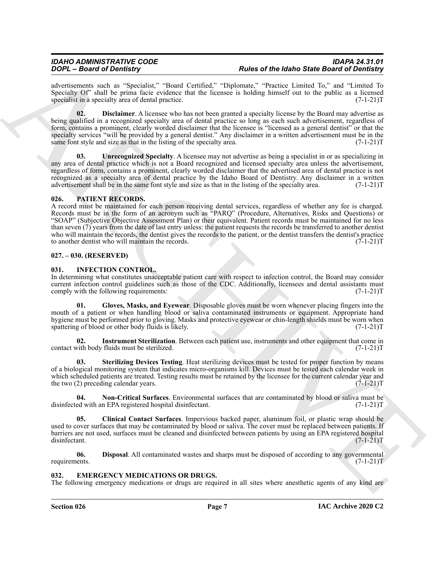## *IDAHO ADMINISTRATIVE CODE IDAPA 24.31.01 DOPL – Board of Dentistry Rules of the Idaho State Board of Dentistry*

advertisements such as "Specialist," "Board Certified," "Diplomate," "Practice Limited To," and "Limited To Specialty Of" shall be prima facie evidence that the licensee is holding himself out to the public as a licensed specialist in a specialty area of dental practice. specialist in a specialty area of dental practice.

<span id="page-6-12"></span>**02. Disclaimer**. A licensee who has not been granted a specialty license by the Board may advertise as being qualified in a recognized specialty area of dental practice so long as each such advertisement, regardless of form, contains a prominent, clearly worded disclaimer that the licensee is "licensed as a general dentist" or that the specialty services "will be provided by a general dentist." Any disclaimer in a written advertisement must be in the same font style and size as that in the listing of the specialty area.  $(7-1-21)$ T

<span id="page-6-13"></span>**03. Unrecognized Specialty**. A licensee may not advertise as being a specialist in or as specializing in any area of dental practice which is not a Board recognized and licensed specialty area unless the advertisement, regardless of form, contains a prominent, clearly worded disclaimer that the advertised area of dental practice is not recognized as a specialty area of dental practice by the Idaho Board of Dentistry. Any disclaimer in a written advertisement shall be in the same font style and size as that in the listing of the specialty area. (7-1-21)T

#### <span id="page-6-11"></span><span id="page-6-0"></span>**026. PATIENT RECORDS.**

For  $\frac{1}{2}$  and  $\frac{1}{2}$  for  $\frac{1}{2}$  and  $\frac{1}{2}$  for  $\frac{1}{2}$  for  $\frac{1}{2}$  and  $\frac{1}{2}$  for  $\frac{1}{2}$  and  $\frac{1}{2}$  for  $\frac{1}{2}$  and  $\frac{1}{2}$  for  $\frac{1}{2}$  and  $\frac{1}{2}$  for  $\frac{1}{2}$  for  $\frac{1}{2}$  for  $\frac{1}{2$ A record must be maintained for each person receiving dental services, regardless of whether any fee is charged. Records must be in the form of an acronym such as "PARQ" (Procedure, Alternatives, Risks and Questions) or "SOAP" (Subjective Objective Assessment Plan) or their equivalent. Patient records must be maintained for no less than seven (7) years from the date of last entry unless: the patient requests the records be transferred to another dentist who will maintain the records, the dentist gives the records to the patient, or the dentist transfers the dentist's practice to another dentist who will maintain the records.  $(7-1-21)$ T to another dentist who will maintain the records.

#### <span id="page-6-1"></span>**027. – 030. (RESERVED)**

#### <span id="page-6-5"></span><span id="page-6-2"></span>**031. INFECTION CONTROL.**

In determining what constitutes unacceptable patient care with respect to infection control, the Board may consider current infection control guidelines such as those of the CDC. Additionally, licensees and dental assistants must<br>comply with the following requirements: (7-1-21)T comply with the following requirements:

**01. Gloves, Masks, and Eyewear**. Disposable gloves must be worn whenever placing fingers into the mouth of a patient or when handling blood or saliva contaminated instruments or equipment. Appropriate hand hygiene must be performed prior to gloving. Masks and protective eyewear or chin-length shields must be worn when<br>grattering of blood or other body fluids is likely. spattering of blood or other body fluids is likely.

<span id="page-6-8"></span>**02.** Instrument Sterilization. Between each patient use, instruments and other equipment that come in vith body fluids must be sterilized. (7-1-21) contact with body fluids must be sterilized.

<span id="page-6-10"></span>**03. Sterilizing Devices Testing**. Heat sterilizing devices must be tested for proper function by means of a biological monitoring system that indicates micro-organisms kill. Devices must be tested each calendar week in which scheduled patients are treated. Testing results must be retained by the licensee for the current calendar year and the two (2) preceding calendar years. (7-1-21)T

<span id="page-6-9"></span>**04. Non-Critical Surfaces**. Environmental surfaces that are contaminated by blood or saliva must be disinfected with an EPA registered hospital disinfectant.

<span id="page-6-6"></span>**05. Clinical Contact Surfaces**. Impervious backed paper, aluminum foil, or plastic wrap should be used to cover surfaces that may be contaminated by blood or saliva. The cover must be replaced between patients. If barriers are not used, surfaces must be cleaned and disinfected between patients by using an EPA registered hospital disinfectant. (7-1-21)T

<span id="page-6-7"></span>**06. Disposal**. All contaminated wastes and sharps must be disposed of according to any governmental ents.  $(7-1-21)T$ requirements.

### <span id="page-6-4"></span><span id="page-6-3"></span>**032. EMERGENCY MEDICATIONS OR DRUGS.**

The following emergency medications or drugs are required in all sites where anesthetic agents of any kind are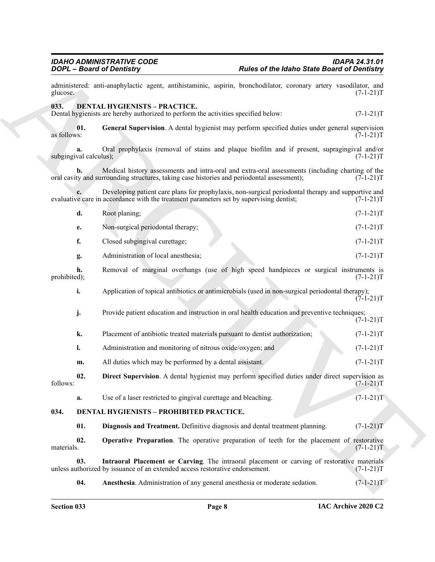#### <span id="page-7-9"></span><span id="page-7-8"></span><span id="page-7-7"></span><span id="page-7-6"></span><span id="page-7-5"></span><span id="page-7-4"></span><span id="page-7-3"></span><span id="page-7-2"></span><span id="page-7-1"></span><span id="page-7-0"></span>**033. DENTAL HYGIENISTS – PRACTICE.**

|                              | <b>DOPL</b> - Board of Dentistry                                                                                           | <b>Rules of the Idaho State Board of Dentistry</b>                                                 |             |
|------------------------------|----------------------------------------------------------------------------------------------------------------------------|----------------------------------------------------------------------------------------------------|-------------|
| glucose.                     | administered: anti-anaphylactic agent, antihistaminic, aspirin, bronchodilator, coronary artery vasodilator, and           |                                                                                                    | $(7-1-21)T$ |
| 033.                         | <b>DENTAL HYGIENISTS - PRACTICE.</b><br>Dental hygienists are hereby authorized to perform the activities specified below: |                                                                                                    | $(7-1-21)T$ |
| 01.<br>as follows:           |                                                                                                                            | General Supervision. A dental hygienist may perform specified duties under general supervision     | $(7-1-21)T$ |
| a.<br>subgingival calculus); |                                                                                                                            | Oral prophylaxis (removal of stains and plaque biofilm and if present, supragingival and/or        | $(7-1-21)T$ |
| b.                           | oral cavity and surrounding structures, taking case histories and periodontal assessment);                                 | Medical history assessments and intra-oral and extra-oral assessments (including charting of the   | $(7-1-21)T$ |
|                              | evaluative care in accordance with the treatment parameters set by supervising dentist;                                    | Developing patient care plans for prophylaxis, non-surgical periodontal therapy and supportive and | $(7-1-21)T$ |
| d.                           | Root planing;                                                                                                              |                                                                                                    | $(7-1-21)T$ |
| е.                           | Non-surgical periodontal therapy;                                                                                          |                                                                                                    | $(7-1-21)T$ |
| f.                           | Closed subgingival curettage;                                                                                              |                                                                                                    | $(7-1-21)T$ |
| g.                           | Administration of local anesthesia;                                                                                        |                                                                                                    | $(7-1-21)T$ |
| h.<br>prohibited);           |                                                                                                                            | Removal of marginal overhangs (use of high speed handpieces or surgical instruments is             | $(7-1-21)T$ |
| i.                           |                                                                                                                            | Application of topical antibiotics or antimicrobials (used in non-surgical periodontal therapy);   | $(7-1-21)T$ |
| j.                           |                                                                                                                            | Provide patient education and instruction in oral health education and preventive techniques;      | $(7-1-21)T$ |
| k.                           | Placement of antibiotic treated materials pursuant to dentist authorization;                                               |                                                                                                    | $(7-1-21)T$ |
| 1.                           | Administration and monitoring of nitrous oxide/oxygen; and                                                                 |                                                                                                    | $(7-1-21)T$ |
| m.                           | All duties which may be performed by a dental assistant.                                                                   |                                                                                                    | $(7-1-21)T$ |
| 02.<br>follows:              |                                                                                                                            | Direct Supervision. A dental hygienist may perform specified duties under direct supervision as    | $(7-1-21)T$ |
| a.                           | Use of a laser restricted to gingival curettage and bleaching.                                                             |                                                                                                    | $(7-1-21)T$ |
| 034.                         | DENTAL HYGIENISTS - PROHIBITED PRACTICE.                                                                                   |                                                                                                    |             |
| 01.                          |                                                                                                                            | Diagnosis and Treatment. Definitive diagnosis and dental treatment planning.                       | $(7-1-21)T$ |
| 02.<br>materials.            |                                                                                                                            | <b>Operative Preparation</b> . The operative preparation of teeth for the placement of restorative | $(7-1-21)T$ |
| 03.                          | unless authorized by issuance of an extended access restorative endorsement.                                               | Intraoral Placement or Carving. The intraoral placement or carving of restorative materials        | $(7-1-21)T$ |
| 04.                          | Anesthesia. Administration of any general anesthesia or moderate sedation.                                                 |                                                                                                    | $(7-1-21)T$ |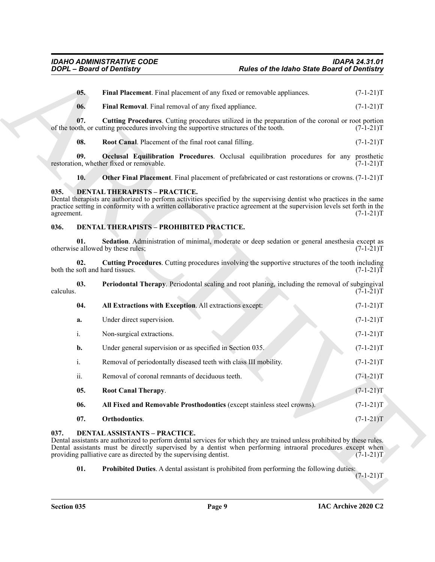#### <span id="page-8-11"></span><span id="page-8-10"></span><span id="page-8-9"></span><span id="page-8-8"></span><span id="page-8-7"></span><span id="page-8-5"></span><span id="page-8-0"></span>**035. DENTAL THERAPISTS – PRACTICE.**

#### <span id="page-8-16"></span><span id="page-8-12"></span><span id="page-8-1"></span>**036. DENTAL THERAPISTS – PROHIBITED PRACTICE.**

<span id="page-8-15"></span><span id="page-8-14"></span><span id="page-8-13"></span>

| 03        |  |  | Periodontal Therapy. Periodontal scaling and root planing, including the removal of subgingival |
|-----------|--|--|-------------------------------------------------------------------------------------------------|
| calculus. |  |  | $(7-1-21)T$                                                                                     |

<span id="page-8-6"></span>

|                                        | <b>DOPL</b> - Board of Dentistry<br><b>Rules of the Idaho State Board of Dentistry</b>                                                                                                                                                                                                                                                               |             |
|----------------------------------------|------------------------------------------------------------------------------------------------------------------------------------------------------------------------------------------------------------------------------------------------------------------------------------------------------------------------------------------------------|-------------|
| 05.                                    | Final Placement. Final placement of any fixed or removable appliances.                                                                                                                                                                                                                                                                               | $(7-1-21)T$ |
| 06.                                    | Final Removal. Final removal of any fixed appliance.                                                                                                                                                                                                                                                                                                 | $(7-1-21)T$ |
| 07.                                    | <b>Cutting Procedures.</b> Cutting procedures utilized in the preparation of the coronal or root portion<br>of the tooth, or cutting procedures involving the supportive structures of the tooth.                                                                                                                                                    | $(7-1-21)T$ |
| 08.                                    | Root Canal. Placement of the final root canal filling.                                                                                                                                                                                                                                                                                               | $(7-1-21)T$ |
| 09.                                    | Occlusal Equilibration Procedures. Occlusal equilibration procedures for any prosthetic<br>restoration, whether fixed or removable.                                                                                                                                                                                                                  | $(7-1-21)T$ |
| 10.                                    | Other Final Placement. Final placement of prefabricated or cast restorations or crowns. (7-1-21)T                                                                                                                                                                                                                                                    |             |
| 035.<br>agreement.                     | <b>DENTAL THERAPISTS - PRACTICE.</b><br>Dental therapists are authorized to perform activities specified by the supervising dentist who practices in the same<br>practice setting in conformity with a written collaborative practice agreement at the supervision levels set forth in the                                                           | $(7-1-21)T$ |
| 036.                                   | <b>DENTAL THERAPISTS - PROHIBITED PRACTICE.</b>                                                                                                                                                                                                                                                                                                      |             |
| 01.                                    | Sedation. Administration of minimal, moderate or deep sedation or general anesthesia except as<br>otherwise allowed by these rules;                                                                                                                                                                                                                  | $(7-1-21)T$ |
| 02.<br>both the soft and hard tissues. | <b>Cutting Procedures.</b> Cutting procedures involving the supportive structures of the tooth including                                                                                                                                                                                                                                             | $(7-1-21)T$ |
| 03.<br>calculus.                       | Periodontal Therapy. Periodontal scaling and root planing, including the removal of subgingival                                                                                                                                                                                                                                                      | $(7-1-21)T$ |
| 04.                                    | All Extractions with Exception. All extractions except:                                                                                                                                                                                                                                                                                              | $(7-1-21)T$ |
| a.                                     | Under direct supervision.                                                                                                                                                                                                                                                                                                                            | $(7-1-21)T$ |
| i.                                     | Non-surgical extractions.                                                                                                                                                                                                                                                                                                                            | $(7-1-21)T$ |
| b.                                     | Under general supervision or as specified in Section 035.                                                                                                                                                                                                                                                                                            | $(7-1-21)T$ |
| i.                                     | Removal of periodontally diseased teeth with class III mobility.                                                                                                                                                                                                                                                                                     | $(7-1-21)T$ |
| ii.                                    | Removal of coronal remnants of deciduous teeth.                                                                                                                                                                                                                                                                                                      | $(7-1-21)T$ |
| 05.                                    | <b>Root Canal Therapy.</b>                                                                                                                                                                                                                                                                                                                           | $(7-1-21)T$ |
| 06.                                    | All Fixed and Removable Prosthodontics (except stainless steel crowns).                                                                                                                                                                                                                                                                              | $(7-1-21)T$ |
| 07.                                    | Orthodontics.                                                                                                                                                                                                                                                                                                                                        | $(7-1-21)T$ |
| 037.                                   | <b>DENTAL ASSISTANTS - PRACTICE.</b><br>Dental assistants are authorized to perform dental services for which they are trained unless prohibited by these rules.<br>Dental assistants must be directly supervised by a dentist when performing intraoral procedures except when<br>providing palliative care as directed by the supervising dentist. | $(7-1-21)T$ |
| 01.                                    | <b>Prohibited Duties.</b> A dental assistant is prohibited from performing the following duties:                                                                                                                                                                                                                                                     | $(7-1-21)T$ |
|                                        |                                                                                                                                                                                                                                                                                                                                                      |             |

#### <span id="page-8-4"></span><span id="page-8-3"></span><span id="page-8-2"></span>**037. DENTAL ASSISTANTS – PRACTICE.**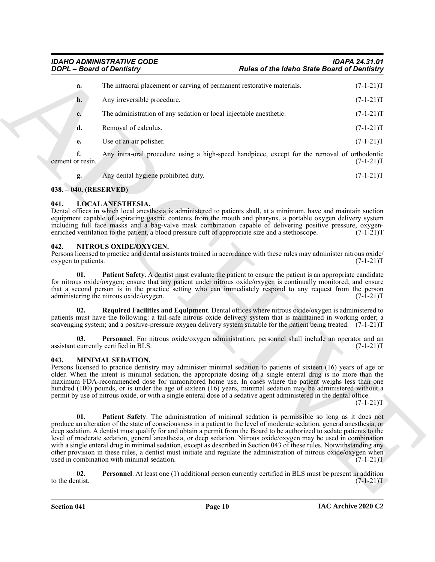#### *IDAHO ADMINISTRATIVE CODE IDAPA 24.31.01 DOPL – Board of Dentistry Rules of the Idaho State Board of Dentistry*

| The intraoral placement or carving of permanent restorative materials.<br>a.<br>Any irreversible procedure.<br>$\mathbf{b}$ .<br>The administration of any sedation or local injectable anesthetic.<br>c.<br>Removal of calculus.<br>d.<br>Use of an air polisher.<br>e.<br>f.<br>Any intra-oral procedure using a high-speed handpiece, except for the removal of orthodontic<br>cement or resin.<br>Any dental hygiene prohibited duty.<br>$g_{\cdot}$<br>038. - 040. (RESERVED)<br>041.<br><b>LOCAL ANESTHESIA.</b><br>Dental offices in which local anesthesia is administered to patients shall, at a minimum, have and maintain suction<br>equipment capable of aspirating gastric contents from the mouth and pharynx, a portable oxygen delivery system<br>including full face masks and a bag-valve mask combination capable of delivering positive pressure, oxygen-<br>enriched ventilation to the patient, a blood pressure cuff of appropriate size and a stethoscope.<br>042.<br>NITROUS OXIDE/OXYGEN.<br>Persons licensed to practice and dental assistants trained in accordance with these rules may administer nitrous oxide/<br>oxygen to patients.<br><b>Patient Safety.</b> A dentist must evaluate the patient to ensure the patient is an appropriate candidate<br>01.<br>for nitrous oxide/oxygen; ensure that any patient under nitrous oxide/oxygen is continually monitored; and ensure<br>that a second person is in the practice setting who can immediately respond to any request from the person<br>administering the nitrous oxide/oxygen.<br>Required Facilities and Equipment. Dental offices where nitrous oxide/oxygen is administered to<br>02.<br>patients must have the following: a fail-safe nitrous oxide delivery system that is maintained in working order; a<br>scavenging system; and a positive-pressure oxygen delivery system suitable for the patient being treated. $(7-1-21)T$<br>Personnel. For nitrous oxide/oxygen administration, personnel shall include an operator and an<br>03.<br>assistant currently certified in BLS.<br>043.<br><b>MINIMAL SEDATION.</b><br>Persons licensed to practice dentistry may administer minimal sedation to patients of sixteen (16) years of age or<br>older. When the intent is minimal sedation, the appropriate dosing of a single enteral drug is no more than the<br>maximum FDA-recommended dose for unmonitored home use. In cases where the patient weighs less than one<br>hundred (100) pounds, or is under the age of sixteen (16) years, minimal sedation may be administered without a<br>permit by use of nitrous oxide, or with a single enteral dose of a sedative agent administered in the dental office.<br>01.<br><b>Patient Safety</b> . The administration of minimal sedation is permissible so long as it does not<br>produce an alteration of the state of consciousness in a patient to the level of moderate sedation, general anesthesia, or<br>deep sedation. A dentist must qualify for and obtain a permit from the Board to be authorized to sedate patients to the<br>level of moderate sedation, general anesthesia, or deep sedation. Nitrous oxide/oxygen may be used in combination<br>with a single enteral drug in minimal sedation, except as described in Section 043 of these rules. Notwithstanding any<br>other provision in these rules, a dentist must initiate and regulate the administration of nitrous oxide/oxygen when<br>used in combination with minimal sedation.<br>02.<br><b>Personnel.</b> At least one (1) additional person currently certified in BLS must be present in addition<br>to the dentist. | <b>DOPL</b> - Board of Dentistry | <b>Rules of the Idaho State Board of Dentistry</b> |             |
|----------------------------------------------------------------------------------------------------------------------------------------------------------------------------------------------------------------------------------------------------------------------------------------------------------------------------------------------------------------------------------------------------------------------------------------------------------------------------------------------------------------------------------------------------------------------------------------------------------------------------------------------------------------------------------------------------------------------------------------------------------------------------------------------------------------------------------------------------------------------------------------------------------------------------------------------------------------------------------------------------------------------------------------------------------------------------------------------------------------------------------------------------------------------------------------------------------------------------------------------------------------------------------------------------------------------------------------------------------------------------------------------------------------------------------------------------------------------------------------------------------------------------------------------------------------------------------------------------------------------------------------------------------------------------------------------------------------------------------------------------------------------------------------------------------------------------------------------------------------------------------------------------------------------------------------------------------------------------------------------------------------------------------------------------------------------------------------------------------------------------------------------------------------------------------------------------------------------------------------------------------------------------------------------------------------------------------------------------------------------------------------------------------------------------------------------------------------------------------------------------------------------------------------------------------------------------------------------------------------------------------------------------------------------------------------------------------------------------------------------------------------------------------------------------------------------------------------------------------------------------------------------------------------------------------------------------------------------------------------------------------------------------------------------------------------------------------------------------------------------------------------------------------------------------------------------------------------------------------------------------------------------------------------------------------------------------------------------------------------------------------------------------------------------------------------------------------------------------------------------------------------------------------------------------------------------------------------------------------------------------------------------------------------|----------------------------------|----------------------------------------------------|-------------|
|                                                                                                                                                                                                                                                                                                                                                                                                                                                                                                                                                                                                                                                                                                                                                                                                                                                                                                                                                                                                                                                                                                                                                                                                                                                                                                                                                                                                                                                                                                                                                                                                                                                                                                                                                                                                                                                                                                                                                                                                                                                                                                                                                                                                                                                                                                                                                                                                                                                                                                                                                                                                                                                                                                                                                                                                                                                                                                                                                                                                                                                                                                                                                                                                                                                                                                                                                                                                                                                                                                                                                                                                                                                                |                                  |                                                    | $(7-1-21)T$ |
|                                                                                                                                                                                                                                                                                                                                                                                                                                                                                                                                                                                                                                                                                                                                                                                                                                                                                                                                                                                                                                                                                                                                                                                                                                                                                                                                                                                                                                                                                                                                                                                                                                                                                                                                                                                                                                                                                                                                                                                                                                                                                                                                                                                                                                                                                                                                                                                                                                                                                                                                                                                                                                                                                                                                                                                                                                                                                                                                                                                                                                                                                                                                                                                                                                                                                                                                                                                                                                                                                                                                                                                                                                                                |                                  |                                                    | $(7-1-21)T$ |
|                                                                                                                                                                                                                                                                                                                                                                                                                                                                                                                                                                                                                                                                                                                                                                                                                                                                                                                                                                                                                                                                                                                                                                                                                                                                                                                                                                                                                                                                                                                                                                                                                                                                                                                                                                                                                                                                                                                                                                                                                                                                                                                                                                                                                                                                                                                                                                                                                                                                                                                                                                                                                                                                                                                                                                                                                                                                                                                                                                                                                                                                                                                                                                                                                                                                                                                                                                                                                                                                                                                                                                                                                                                                |                                  |                                                    | $(7-1-21)T$ |
|                                                                                                                                                                                                                                                                                                                                                                                                                                                                                                                                                                                                                                                                                                                                                                                                                                                                                                                                                                                                                                                                                                                                                                                                                                                                                                                                                                                                                                                                                                                                                                                                                                                                                                                                                                                                                                                                                                                                                                                                                                                                                                                                                                                                                                                                                                                                                                                                                                                                                                                                                                                                                                                                                                                                                                                                                                                                                                                                                                                                                                                                                                                                                                                                                                                                                                                                                                                                                                                                                                                                                                                                                                                                |                                  |                                                    | $(7-1-21)T$ |
|                                                                                                                                                                                                                                                                                                                                                                                                                                                                                                                                                                                                                                                                                                                                                                                                                                                                                                                                                                                                                                                                                                                                                                                                                                                                                                                                                                                                                                                                                                                                                                                                                                                                                                                                                                                                                                                                                                                                                                                                                                                                                                                                                                                                                                                                                                                                                                                                                                                                                                                                                                                                                                                                                                                                                                                                                                                                                                                                                                                                                                                                                                                                                                                                                                                                                                                                                                                                                                                                                                                                                                                                                                                                |                                  |                                                    | $(7-1-21)T$ |
|                                                                                                                                                                                                                                                                                                                                                                                                                                                                                                                                                                                                                                                                                                                                                                                                                                                                                                                                                                                                                                                                                                                                                                                                                                                                                                                                                                                                                                                                                                                                                                                                                                                                                                                                                                                                                                                                                                                                                                                                                                                                                                                                                                                                                                                                                                                                                                                                                                                                                                                                                                                                                                                                                                                                                                                                                                                                                                                                                                                                                                                                                                                                                                                                                                                                                                                                                                                                                                                                                                                                                                                                                                                                |                                  |                                                    | $(7-1-21)T$ |
|                                                                                                                                                                                                                                                                                                                                                                                                                                                                                                                                                                                                                                                                                                                                                                                                                                                                                                                                                                                                                                                                                                                                                                                                                                                                                                                                                                                                                                                                                                                                                                                                                                                                                                                                                                                                                                                                                                                                                                                                                                                                                                                                                                                                                                                                                                                                                                                                                                                                                                                                                                                                                                                                                                                                                                                                                                                                                                                                                                                                                                                                                                                                                                                                                                                                                                                                                                                                                                                                                                                                                                                                                                                                |                                  |                                                    | $(7-1-21)T$ |
|                                                                                                                                                                                                                                                                                                                                                                                                                                                                                                                                                                                                                                                                                                                                                                                                                                                                                                                                                                                                                                                                                                                                                                                                                                                                                                                                                                                                                                                                                                                                                                                                                                                                                                                                                                                                                                                                                                                                                                                                                                                                                                                                                                                                                                                                                                                                                                                                                                                                                                                                                                                                                                                                                                                                                                                                                                                                                                                                                                                                                                                                                                                                                                                                                                                                                                                                                                                                                                                                                                                                                                                                                                                                |                                  |                                                    |             |
|                                                                                                                                                                                                                                                                                                                                                                                                                                                                                                                                                                                                                                                                                                                                                                                                                                                                                                                                                                                                                                                                                                                                                                                                                                                                                                                                                                                                                                                                                                                                                                                                                                                                                                                                                                                                                                                                                                                                                                                                                                                                                                                                                                                                                                                                                                                                                                                                                                                                                                                                                                                                                                                                                                                                                                                                                                                                                                                                                                                                                                                                                                                                                                                                                                                                                                                                                                                                                                                                                                                                                                                                                                                                |                                  |                                                    | $(7-1-21)T$ |
|                                                                                                                                                                                                                                                                                                                                                                                                                                                                                                                                                                                                                                                                                                                                                                                                                                                                                                                                                                                                                                                                                                                                                                                                                                                                                                                                                                                                                                                                                                                                                                                                                                                                                                                                                                                                                                                                                                                                                                                                                                                                                                                                                                                                                                                                                                                                                                                                                                                                                                                                                                                                                                                                                                                                                                                                                                                                                                                                                                                                                                                                                                                                                                                                                                                                                                                                                                                                                                                                                                                                                                                                                                                                |                                  |                                                    | $(7-1-21)T$ |
|                                                                                                                                                                                                                                                                                                                                                                                                                                                                                                                                                                                                                                                                                                                                                                                                                                                                                                                                                                                                                                                                                                                                                                                                                                                                                                                                                                                                                                                                                                                                                                                                                                                                                                                                                                                                                                                                                                                                                                                                                                                                                                                                                                                                                                                                                                                                                                                                                                                                                                                                                                                                                                                                                                                                                                                                                                                                                                                                                                                                                                                                                                                                                                                                                                                                                                                                                                                                                                                                                                                                                                                                                                                                |                                  |                                                    | $(7-1-21)T$ |
|                                                                                                                                                                                                                                                                                                                                                                                                                                                                                                                                                                                                                                                                                                                                                                                                                                                                                                                                                                                                                                                                                                                                                                                                                                                                                                                                                                                                                                                                                                                                                                                                                                                                                                                                                                                                                                                                                                                                                                                                                                                                                                                                                                                                                                                                                                                                                                                                                                                                                                                                                                                                                                                                                                                                                                                                                                                                                                                                                                                                                                                                                                                                                                                                                                                                                                                                                                                                                                                                                                                                                                                                                                                                |                                  |                                                    |             |
|                                                                                                                                                                                                                                                                                                                                                                                                                                                                                                                                                                                                                                                                                                                                                                                                                                                                                                                                                                                                                                                                                                                                                                                                                                                                                                                                                                                                                                                                                                                                                                                                                                                                                                                                                                                                                                                                                                                                                                                                                                                                                                                                                                                                                                                                                                                                                                                                                                                                                                                                                                                                                                                                                                                                                                                                                                                                                                                                                                                                                                                                                                                                                                                                                                                                                                                                                                                                                                                                                                                                                                                                                                                                |                                  |                                                    | $(7-1-21)T$ |
|                                                                                                                                                                                                                                                                                                                                                                                                                                                                                                                                                                                                                                                                                                                                                                                                                                                                                                                                                                                                                                                                                                                                                                                                                                                                                                                                                                                                                                                                                                                                                                                                                                                                                                                                                                                                                                                                                                                                                                                                                                                                                                                                                                                                                                                                                                                                                                                                                                                                                                                                                                                                                                                                                                                                                                                                                                                                                                                                                                                                                                                                                                                                                                                                                                                                                                                                                                                                                                                                                                                                                                                                                                                                |                                  |                                                    | $(7-1-21)T$ |
|                                                                                                                                                                                                                                                                                                                                                                                                                                                                                                                                                                                                                                                                                                                                                                                                                                                                                                                                                                                                                                                                                                                                                                                                                                                                                                                                                                                                                                                                                                                                                                                                                                                                                                                                                                                                                                                                                                                                                                                                                                                                                                                                                                                                                                                                                                                                                                                                                                                                                                                                                                                                                                                                                                                                                                                                                                                                                                                                                                                                                                                                                                                                                                                                                                                                                                                                                                                                                                                                                                                                                                                                                                                                |                                  |                                                    | $(7-1-21)T$ |
|                                                                                                                                                                                                                                                                                                                                                                                                                                                                                                                                                                                                                                                                                                                                                                                                                                                                                                                                                                                                                                                                                                                                                                                                                                                                                                                                                                                                                                                                                                                                                                                                                                                                                                                                                                                                                                                                                                                                                                                                                                                                                                                                                                                                                                                                                                                                                                                                                                                                                                                                                                                                                                                                                                                                                                                                                                                                                                                                                                                                                                                                                                                                                                                                                                                                                                                                                                                                                                                                                                                                                                                                                                                                |                                  |                                                    | $(7-1-21)T$ |

#### <span id="page-9-0"></span>**038. – 040. (RESERVED)**

#### <span id="page-9-4"></span><span id="page-9-1"></span>**041. LOCAL ANESTHESIA.**

#### <span id="page-9-9"></span><span id="page-9-8"></span><span id="page-9-2"></span>**042. NITROUS OXIDE/OXYGEN.**

#### <span id="page-9-11"></span><span id="page-9-10"></span><span id="page-9-7"></span><span id="page-9-6"></span><span id="page-9-5"></span><span id="page-9-3"></span>**043. MINIMAL SEDATION.**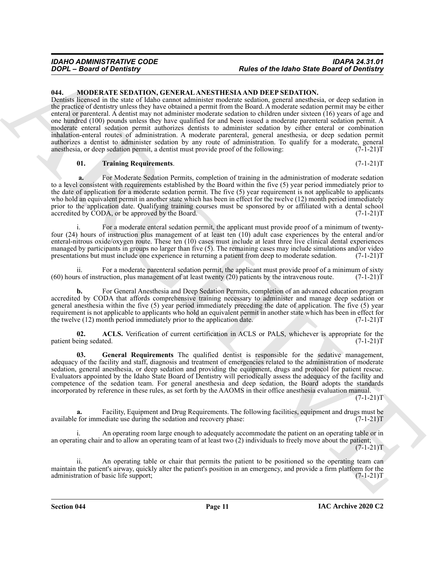#### <span id="page-10-1"></span><span id="page-10-0"></span>**044. MODERATE SEDATION, GENERAL ANESTHESIA AND DEEP SEDATION.**

Factor of the Male as of the Male a first based of December 2013.<br>
Although Sinte Board of December 2013.<br>
Although Sinte Board of December 2013.<br>
Although Sinte Board of December 2013.<br>
In the same of the Male and Sinte Dentists licensed in the state of Idaho cannot administer moderate sedation, general anesthesia, or deep sedation in the practice of dentistry unless they have obtained a permit from the Board. A moderate sedation permit may be either enteral or parenteral. A dentist may not administer moderate sedation to children under sixteen (16) years of age and one hundred (100) pounds unless they have qualified for and been issued a moderate parenteral sedation permit. A moderate enteral sedation permit authorizes dentists to administer sedation by either enteral or combination inhalation-enteral routes of administration. A moderate parenteral, general anesthesia, or deep sedation permit authorizes a dentist to administer sedation by any route of administration. To qualify for a moderate, general anesthesia, or deep sedation permit, a dentist must provide proof of the following: (7-1-21)T

#### <span id="page-10-4"></span>**01. Training Requirements**. (7-1-21)T

 **a.** For Moderate Sedation Permits, completion of training in the administration of moderate sedation to a level consistent with requirements established by the Board within the five (5) year period immediately prior to the date of application for a moderate sedation permit. The five (5) year requirement is not applicable to applicants who hold an equivalent permit in another state which has been in effect for the twelve (12) month period immediately prior to the application date. Qualifying training courses must be sponsored by or affiliated with a dental school accredited by CODA, or be approved by the Board. (7-1-21)T

For a moderate enteral sedation permit, the applicant must provide proof of a minimum of twentyfour (24) hours of instruction plus management of at least ten (10) adult case experiences by the enteral and/or enteral-nitrous oxide/oxygen route. These ten (10) cases must include at least three live clinical dental experiences managed by participants in groups no larger than five (5). The remaining cases may include simulations and/or video presentations but must include one experience in returning a patient from deep to moderate sedation. (7-1-21)T

ii. For a moderate parenteral sedation permit, the applicant must provide proof of a minimum of sixty rs of instruction, plus management of at least twenty (20) patients by the intravenous route.  $(7-1-21)T$  $(60)$  hours of instruction, plus management of at least twenty  $(20)$  patients by the intravenous route.

**b.** For General Anesthesia and Deep Sedation Permits, completion of an advanced education program accredited by CODA that affords comprehensive training necessary to administer and manage deep sedation or general anesthesia within the five (5) year period immediately preceding the date of application. The five (5) year requirement is not applicable to applicants who hold an equivalent permit in another state which has been in effect for the twelve (12) month period immediately prior to the application date. (7-1-21)T

<span id="page-10-2"></span>**02. ACLS.** Verification of current certification in ACLS or PALS, whichever is appropriate for the eing sedated. (7-1-21) patient being sedated.

<span id="page-10-3"></span>General Requirements The qualified dentist is responsible for the sedative management, adequacy of the facility and staff, diagnosis and treatment of emergencies related to the administration of moderate sedation, general anesthesia, or deep sedation and providing the equipment, drugs and protocol for patient rescue. Evaluators appointed by the Idaho State Board of Dentistry will periodically assess the adequacy of the facility and competence of the sedation team. For general anesthesia and deep sedation, the Board adopts the standards incorporated by reference in these rules, as set forth by the AAOMS in their office anesthesia evaluation manual.

 $(7-1-21)T$ 

**a.** Facility, Equipment and Drug Requirements. The following facilities, equipment and drugs must be available for immediate use during the sedation and recovery phase: (7-1-21)T

An operating room large enough to adequately accommodate the patient on an operating table or in an operating chair and to allow an operating team of at least two (2) individuals to freely move about the patient;

 $(7-1-21)T$ 

ii. An operating table or chair that permits the patient to be positioned so the operating team can maintain the patient's airway, quickly alter the patient's position in an emergency, and provide a firm platform for the administration of basic life support; (7-1-21)T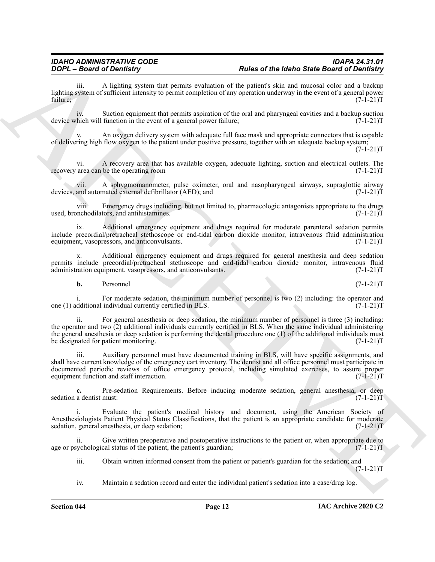iii. A lighting system that permits evaluation of the patient's skin and mucosal color and a backup lighting system of sufficient intensity to permit completion of any operation underway in the event of a general power<br>(7-1-21)T failure; (7-1-21)T

iv. Suction equipment that permits aspiration of the oral and pharyngeal cavities and a backup suction<br>hich will function in the event of a general power failure; (7-1-21) device which will function in the event of a general power failure;

An oxygen delivery system with adequate full face mask and appropriate connectors that is capable of delivering high flow oxygen to the patient under positive pressure, together with an adequate backup system;

 $(7-1-21)T$ 

vi. A recovery area that has available oxygen, adequate lighting, suction and electrical outlets. The area can be the operating room (7-1-21) recovery area can be the operating room

vii. A sphygmomanometer, pulse oximeter, oral and nasopharyngeal airways, supraglottic airway devices, and automated external defibrillator (AED); and

viii. Emergency drugs including, but not limited to, pharmacologic antagonists appropriate to the drugs used, bronchodilators, and antihistamines. (7-1-21)T

ix. Additional emergency equipment and drugs required for moderate parenteral sedation permits include precordial/pretracheal stethoscope or end-tidal carbon dioxide monitor, intravenous fluid administration equipment, vasopressors, and anticonvulsants. (7-1-21) equipment, vasopressors, and anticonvulsants.

x. Additional emergency equipment and drugs required for general anesthesia and deep sedation permits include precordial/pretracheal stethoscope and end-tidal carbon dioxide monitor, intravenous fluid administration equipment, vasopressors, and anticonvulsants. (7-1-21) administration equipment, vasopressors, and anticonvulsants.

**b.** Personnel (7-1-21)T

i. For moderate sedation, the minimum number of personnel is two (2) including: the operator and one (1) additional individual currently certified in BLS. (7-1-21)T

**FORCE - Branch of Contribution** C.<br> **ARCHIVE C.**<br> **ARCHIVE C.**<br> **ARCHIVE C.**<br> **ARCHIVE C.**<br> **ARCHIVE C.**<br> **ARCHIVE C.**<br> **ARCHIVE C.**<br> **ARCHIVE CONTINUES** (**ARCHIVE CONTINUES)**<br> **ARCHIVE CONTINUES** (**ARCHIVE CONTINUES)**<br> ii. For general anesthesia or deep sedation, the minimum number of personnel is three (3) including: the operator and two (2) additional individuals currently certified in BLS. When the same individual administering the general anesthesia or deep sedation is performing the dental procedure one (1) of the additional individuals must<br>be designated for patient monitoring.  $(7-1-21)T$ be designated for patient monitoring.

iii. Auxiliary personnel must have documented training in BLS, will have specific assignments, and shall have current knowledge of the emergency cart inventory. The dentist and all office personnel must participate in documented periodic reviews of office emergency protocol, including simulated exercises, to assure proper equipment function and staff interaction. (7-1-21)T equipment function and staff interaction.

**c.** Pre-sedation Requirements. Before inducing moderate sedation, general anesthesia, or deep a dentist must: (7-1-21)T sedation a dentist must:

i. Evaluate the patient's medical history and document, using the American Society of Anesthesiologists Patient Physical Status Classifications, that the patient is an appropriate candidate for moderate sedation, general anesthesia, or deep sedation; (7-1-21) sedation, general anesthesia, or deep sedation;

ii. Give written preoperative and postoperative instructions to the patient or, when appropriate due to age or psychological status of the patient, the patient's guardian;  $(7-1-21)$ T

iii. Obtain written informed consent from the patient or patient's guardian for the sedation; and  $(7-1-21)T$ 

iv. Maintain a sedation record and enter the individual patient's sedation into a case/drug log.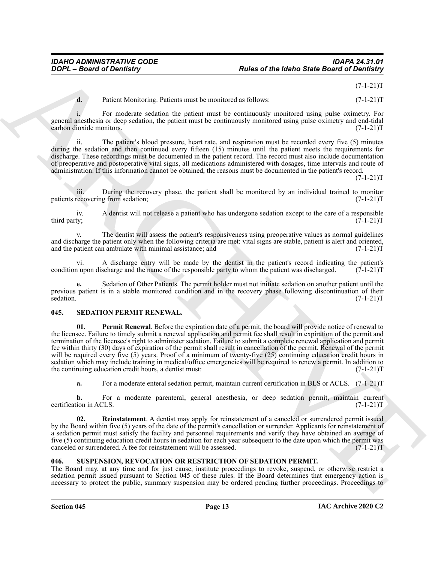$(7-1-21)T$ 

**d.** Patient Monitoring. Patients must be monitored as follows:  $(7-1-21)$ T

i. For moderate sedation the patient must be continuously monitored using pulse oximetry. For general anesthesia or deep sedation, the patient must be continuously monitored using pulse oximetry and end-tidal carbon dioxide monitors. (7-1-21) carbon dioxide monitors.

ii. The patient's blood pressure, heart rate, and respiration must be recorded every five (5) minutes during the sedation and then continued every fifteen (15) minutes until the patient meets the requirements for discharge. These recordings must be documented in the patient record. The record must also include documentation of preoperative and postoperative vital signs, all medications administered with dosages, time intervals and route of administration. If this information cannot be obtained, the reasons must be documented in the patient's record.

 $(7-1-21)T$ 

iii. During the recovery phase, the patient shall be monitored by an individual trained to monitor recovering from sedation;  $(7-1-21)$ patients recovering from sedation;

iv. A dentist will not release a patient who has undergone sedation except to the care of a responsible<br>(7-1-21) third party;  $(7-1-21)T$ 

The dentist will assess the patient's responsiveness using preoperative values as normal guidelines and discharge the patient only when the following criteria are met: vital signs are stable, patient is alert and oriented, and the patient can ambulate with minimal assistance; and  $(7-1-21)$ and the patient can ambulate with minimal assistance; and

vi. A discharge entry will be made by the dentist in the patient's record indicating the patient's upon discharge and the name of the responsible party to whom the patient was discharged. (7-1-21) condition upon discharge and the name of the responsible party to whom the patient was discharged.

**e.** Sedation of Other Patients. The permit holder must not initiate sedation on another patient until the previous patient is in a stable monitored condition and in the recovery phase following discontinuation of their<br>(7-1-21)T sedation. (7-1-21)T

#### <span id="page-12-3"></span><span id="page-12-2"></span><span id="page-12-0"></span>**045. SEDATION PERMIT RENEWAL.**

For the state of the following function and the state of the follow Sinte Board of Dentisiny<br>
4. Pariset Vashining Pariset result in the continued particle particle particle (1-1-1)<br>
4. Pariset Vashining Pariset result ma **01. Permit Renewal**. Before the expiration date of a permit, the board will provide notice of renewal to the licensee. Failure to timely submit a renewal application and permit fee shall result in expiration of the permit and termination of the licensee's right to administer sedation. Failure to submit a complete renewal application and permit fee within thirty (30) days of expiration of the permit shall result in cancellation of the permit. Renewal of the permit will be required every five (5) years. Proof of a minimum of twenty-five (25) continuing education credit hours in sedation which may include training in medical/office emergencies will be required to renew a permit. In addition to the continuing education credit hours, a dentist must: (7-1-21)T

<span id="page-12-4"></span>**a.** For a moderate enteral sedation permit, maintain current certification in BLS or ACLS. (7-1-21)T

**b.** For a moderate parenteral, general anesthesia, or deep sedation permit, maintain current tion in ACLS. (7-1-21) certification in ACLS.

**Reinstatement**. A dentist may apply for reinstatement of a canceled or surrendered permit issued by the Board within five (5) years of the date of the permit's cancellation or surrender. Applicants for reinstatement of a sedation permit must satisfy the facility and personnel requirements and verify they have obtained an average of five (5) continuing education credit hours in sedation for each year subsequent to the date upon which the permit was canceled or surrendered. A fee for reinstatement will be assessed. (7-1-21)T

#### <span id="page-12-5"></span><span id="page-12-1"></span>**046. SUSPENSION, REVOCATION OR RESTRICTION OF SEDATION PERMIT.**

The Board may, at any time and for just cause, institute proceedings to revoke, suspend, or otherwise restrict a sedation permit issued pursuant to Section 045 of these rules. If the Board determines that emergency action is necessary to protect the public, summary suspension may be ordered pending further proceedings. Proceedings to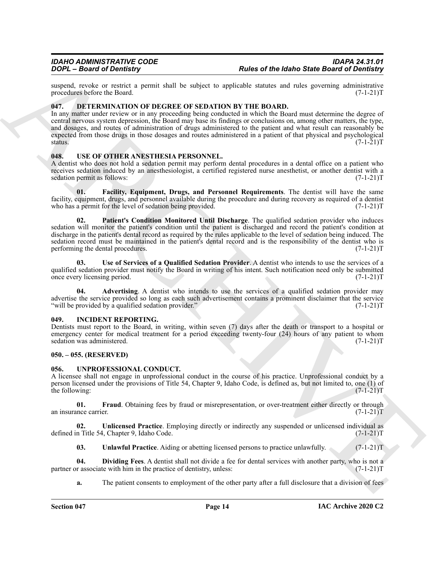suspend, revoke or restrict a permit shall be subject to applicable statutes and rules governing administrative procedures before the Board. (7-1-21) procedures before the Board.

#### <span id="page-13-5"></span><span id="page-13-0"></span>**047. DETERMINATION OF DEGREE OF SEDATION BY THE BOARD.**

In any matter under review or in any proceeding being conducted in which the Board must determine the degree of central nervous system depression, the Board may base its findings or conclusions on, among other matters, the type, and dosages, and routes of administration of drugs administered to the patient and what result can reasonably be expected from those drugs in those dosages and routes administered in a patient of that physical and psychological status. (7-1-21)T status. (7-1-21)T

#### <span id="page-13-12"></span><span id="page-13-1"></span>**048. USE OF OTHER ANESTHESIA PERSONNEL.**

A dentist who does not hold a sedation permit may perform dental procedures in a dental office on a patient who receives sedation induced by an anesthesiologist, a certified registered nurse anesthetist, or another dentist with a sedation permit as follows: (7-1-21)T

<span id="page-13-15"></span><span id="page-13-14"></span>**01. Facility, Equipment, Drugs, and Personnel Requirements**. The dentist will have the same facility, equipment, drugs, and personnel available during the procedure and during recovery as required of a dentist who has a permit for the level of sedation being provided. (7-1-21) who has a permit for the level of sedation being provided.

From the method in the state of the labor Since of the based of Denthisian<br>
maps is even by the state of the state of the state of the state and the state of the state of the state of the<br>
proceeds the state of the state **02. Patient's Condition Monitored Until Discharge**. The qualified sedation provider who induces sedation will monitor the patient's condition until the patient is discharged and record the patient's condition at discharge in the patient's dental record as required by the rules applicable to the level of sedation being induced. The sedation record must be maintained in the patient's dental record and is the responsibility of the dentist who is performing the dental procedures. (7-1-21)T

<span id="page-13-16"></span>**03. Use of Services of a Qualified Sedation Provider**. A dentist who intends to use the services of a qualified sedation provider must notify the Board in writing of his intent. Such notification need only be submitted once every licensing period. (7-1-21) once every licensing period.

<span id="page-13-13"></span>**04. Advertising**. A dentist who intends to use the services of a qualified sedation provider may advertise the service provided so long as each such advertisement contains a prominent disclaimer that the service "will be provided by a qualified sedation provider." (7-1-21)T

#### <span id="page-13-6"></span><span id="page-13-2"></span>**049. INCIDENT REPORTING.**

Dentists must report to the Board, in writing, within seven (7) days after the death or transport to a hospital or emergency center for medical treatment for a period exceeding twenty-four (24) hours of any patient to whom sedation was administered. (7-1-21) sedation was administered.

#### <span id="page-13-3"></span>**050. – 055. (RESERVED)**

#### <span id="page-13-7"></span><span id="page-13-4"></span>**056. UNPROFESSIONAL CONDUCT.**

A licensee shall not engage in unprofessional conduct in the course of his practice. Unprofessional conduct by a person licensed under the provisions of Title 54, Chapter 9, Idaho Code, is defined as, but not limited to, one  $(1)$  of the following:  $(7-1-21)$ T the following:

<span id="page-13-9"></span>**01.** Fraud. Obtaining fees by fraud or misrepresentation, or over-treatment either directly or through ince carrier. (7-1-21) an insurance carrier.

**02.** Unlicensed Practice. Employing directly or indirectly any suspended or unlicensed individual as n Title 54, Chapter 9, Idaho Code. (7-1-21) defined in Title 54, Chapter 9, Idaho Code.

<span id="page-13-11"></span><span id="page-13-10"></span><span id="page-13-8"></span>**03.** Unlawful Practice. Aiding or abetting licensed persons to practice unlawfully. (7-1-21)T

**04. Dividing Fees**. A dentist shall not divide a fee for dental services with another party, who is not a r associate with him in the practice of dentistry, unless:  $(7-1-21)$ partner or associate with him in the practice of dentistry, unless:

**a.** The patient consents to employment of the other party after a full disclosure that a division of fees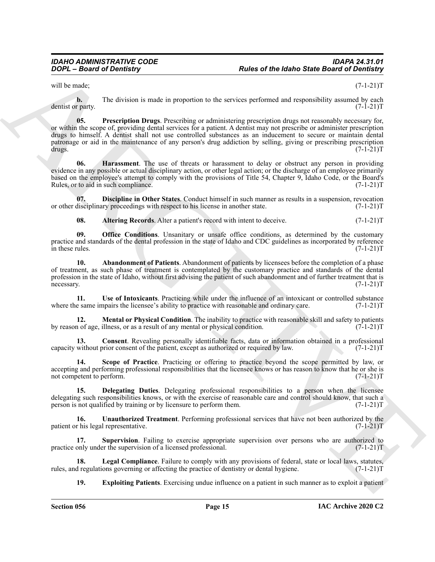will be made;  $(7-1-21)T$ 

<span id="page-14-10"></span>**b.** The division is made in proportion to the services performed and responsibility assumed by each r party.  $(7-1-21)T$ dentist or party.

For the state of the data of the data of the basis of the basis of the control of Deville is match of the control of the basis of Deville is the control of the control of the state of the state of the state of the state o **05. Prescription Drugs**. Prescribing or administering prescription drugs not reasonably necessary for, or within the scope of, providing dental services for a patient. A dentist may not prescribe or administer prescription drugs to himself. A dentist shall not use controlled substances as an inducement to secure or maintain dental patronage or aid in the maintenance of any person's drug addiction by selling, giving or prescribing prescription drugs. (7-1-21)T

<span id="page-14-6"></span>**06. Harassment**. The use of threats or harassment to delay or obstruct any person in providing evidence in any possible or actual disciplinary action, or other legal action; or the discharge of an employee primarily based on the employee's attempt to comply with the provisions of Title 54, Chapter 9, Idaho Code, or the Board's Rules, or to aid in such compliance. (7-1-21)T

**07. Discipline in Other States**. Conduct himself in such manner as results in a suspension, revocation disciplinary proceedings with respect to his license in another state. (7-1-21) or other disciplinary proceedings with respect to his license in another state.

<span id="page-14-9"></span><span id="page-14-4"></span><span id="page-14-1"></span><span id="page-14-0"></span>**08.** Altering Records. Alter a patient's record with intent to deceive. (7-1-21)T

**09. Office Conditions**. Unsanitary or unsafe office conditions, as determined by the customary practice and standards of the dental profession in the state of Idaho and CDC guidelines as incorporated by reference<br>(7-1-21)T in these rules.

**10. Abandonment of Patients**. Abandonment of patients by licensees before the completion of a phase of treatment, as such phase of treatment is contemplated by the customary practice and standards of the dental profession in the state of Idaho, without first advising the patient of such abandonment and of further treatment that is necessary. (7-1-21)T

<span id="page-14-14"></span>**11.** Use of Intoxicants. Practicing while under the influence of an intoxicant or controlled substance e same impairs the licensee's ability to practice with reasonable and ordinary care.  $(7-1-21)$ where the same impairs the licensee's ability to practice with reasonable and ordinary care.

<span id="page-14-8"></span>**12. Mental or Physical Condition**. The inability to practice with reasonable skill and safety to patients in of age, illness, or as a result of any mental or physical condition. (7-1-21) by reason of age, illness, or as a result of any mental or physical condition.

<span id="page-14-2"></span>**13.** Consent. Revealing personally identifiable facts, data or information obtained in a professional without prior consent of the patient, except as authorized or required by law. (7-1-21) capacity without prior consent of the patient, except as authorized or required by law.

<span id="page-14-11"></span>**14. Scope of Practice**. Practicing or offering to practice beyond the scope permitted by law, or accepting and performing professional responsibilities that the licensee knows or has reason to know that he or she is not competent to perform. (7-1-21)T

<span id="page-14-3"></span>**15. Delegating Duties**. Delegating professional responsibilities to a person when the licensee delegating such responsibilities knows, or with the exercise of reasonable care and control should know, that such a person is not qualified by training or by licensure to perform them. (7-1-21) person is not qualified by training or by licensure to perform them.

<span id="page-14-13"></span>**16.** Unauthorized Treatment. Performing professional services that have not been authorized by the r his legal representative. (7-1-21)T patient or his legal representative.

<span id="page-14-12"></span>**17. Supervision**. Failing to exercise appropriate supervision over persons who are authorized to practice only under the supervision of a licensed professional. (7-1-21)T

**18.** Legal Compliance. Failure to comply with any provisions of federal, state or local laws, statutes, d regulations governing or affecting the practice of dentistry or dental hygiene. (7-1-21) rules, and regulations governing or affecting the practice of dentistry or dental hygiene.

<span id="page-14-7"></span><span id="page-14-5"></span>**19. Exploiting Patients**. Exercising undue influence on a patient in such manner as to exploit a patient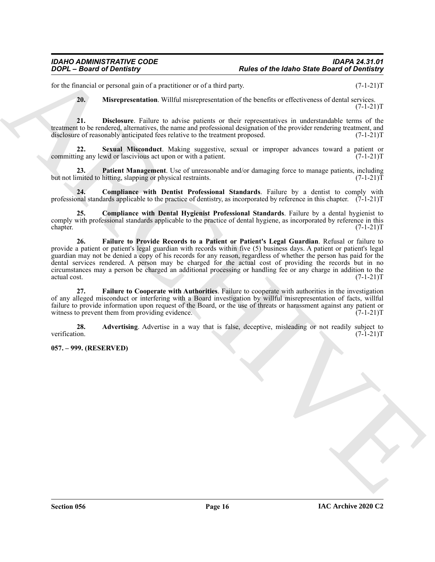#### *IDAHO ADMINISTRATIVE CODE IDAPA 24.31.01 DOPL – Board of Dentistry Rules of the Idaho State Board of Dentistry*

for the financial or personal gain of a practitioner or of a third party. (7-1-21)T

<span id="page-15-9"></span><span id="page-15-7"></span><span id="page-15-4"></span>**20. Misrepresentation**. Willful misrepresentation of the benefits or effectiveness of dental services.  $(7-1-21)T$ 

**21. Disclosure**. Failure to advise patients or their representatives in understandable terms of the treatment to be rendered, alternatives, the name and professional designation of the provider rendering treatment, and disclosure of reasonably anticipated fees relative to the treatment proposed. (7-1-21)T

**22. Sexual Misconduct**. Making suggestive, sexual or improper advances toward a patient or ewd or lascivious act upon or with a patient. committing any lewd or lascivious act upon or with a patient.

<span id="page-15-8"></span>**23.** Patient Management. Use of unreasonable and/or damaging force to manage patients, including mited to hitting, slapping or physical restraints. (7-1-21) but not limited to hitting, slapping or physical restraints.

<span id="page-15-3"></span>**24. Compliance with Dentist Professional Standards**. Failure by a dentist to comply with professional standards applicable to the practice of dentistry, as incorporated by reference in this chapter. (7-1-21)T

<span id="page-15-6"></span><span id="page-15-2"></span>**25. Compliance with Dental Hygienist Professional Standards**. Failure by a dental hygienist to comply with professional standards applicable to the practice of dental hygiene, as incorporated by reference in this chapter. (7-1-21)T

For the theorem is the contract provident with the state of the blanch Sinte Board of Deville is the theorem in the state of the blanch Sinte Board of Deville 211<br>
Let the contract particle provident with the state and pr **26. Failure to Provide Records to a Patient or Patient's Legal Guardian**. Refusal or failure to provide a patient or patient's legal guardian with records within five (5) business days. A patient or patient's legal guardian may not be denied a copy of his records for any reason, regardless of whether the person has paid for the dental services rendered. A person may be charged for the actual cost of providing the records but in no circumstances may a person be charged an additional processing or handling fee or any charge in addition to the actual cost. (7-1-21)T

<span id="page-15-5"></span>**27. Failure to Cooperate with Authorities**. Failure to cooperate with authorities in the investigation of any alleged misconduct or interfering with a Board investigation by willful misrepresentation of facts, willful failure to provide information upon request of the Board, or the use of threats or harassment against any patient or witness to prevent them from providing evidence. (7-1-21) witness to prevent them from providing evidence.

<span id="page-15-1"></span>**28.** Advertising. Advertise in a way that is false, deceptive, misleading or not readily subject to verification.  $(7-1-21)T$ verification. (7-1-21)T

#### <span id="page-15-0"></span>**057. – 999. (RESERVED)**